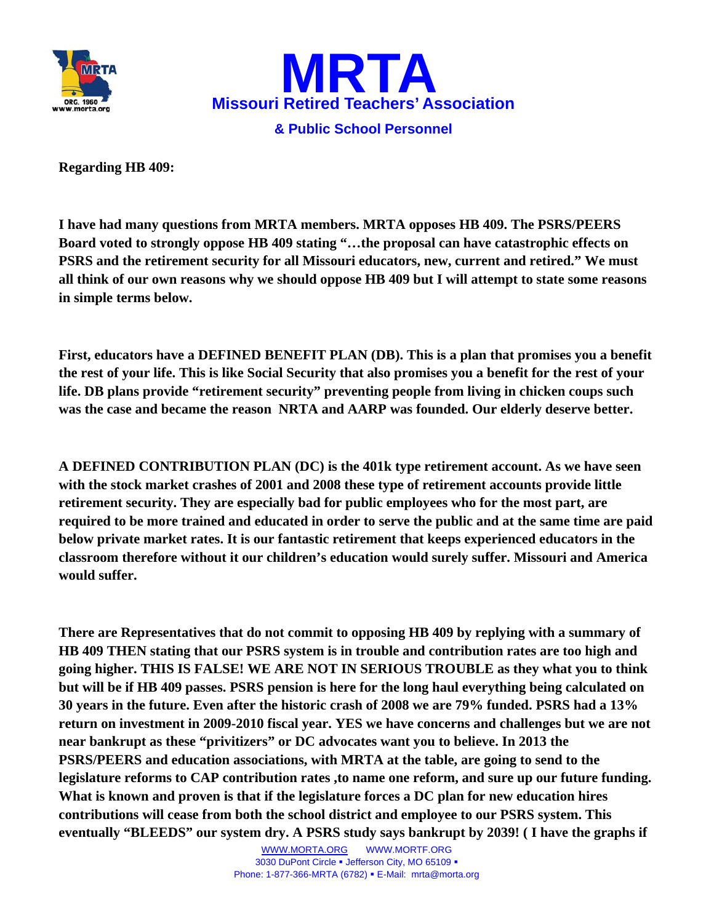



**Regarding HB 409:** 

**I have had many questions from MRTA members. MRTA opposes HB 409. The PSRS/PEERS Board voted to strongly oppose HB 409 stating "…the proposal can have catastrophic effects on PSRS and the retirement security for all Missouri educators, new, current and retired." We must all think of our own reasons why we should oppose HB 409 but I will attempt to state some reasons in simple terms below.** 

**First, educators have a DEFINED BENEFIT PLAN (DB). This is a plan that promises you a benefit the rest of your life. This is like Social Security that also promises you a benefit for the rest of your life. DB plans provide "retirement security" preventing people from living in chicken coups such was the case and became the reason NRTA and AARP was founded. Our elderly deserve better.** 

**A DEFINED CONTRIBUTION PLAN (DC) is the 401k type retirement account. As we have seen with the stock market crashes of 2001 and 2008 these type of retirement accounts provide little retirement security. They are especially bad for public employees who for the most part, are required to be more trained and educated in order to serve the public and at the same time are paid below private market rates. It is our fantastic retirement that keeps experienced educators in the classroom therefore without it our children's education would surely suffer. Missouri and America would suffer.** 

**There are Representatives that do not commit to opposing HB 409 by replying with a summary of HB 409 THEN stating that our PSRS system is in trouble and contribution rates are too high and going higher. THIS IS FALSE! WE ARE NOT IN SERIOUS TROUBLE as they what you to think but will be if HB 409 passes. PSRS pension is here for the long haul everything being calculated on 30 years in the future. Even after the historic crash of 2008 we are 79% funded. PSRS had a 13% return on investment in 2009-2010 fiscal year. YES we have concerns and challenges but we are not near bankrupt as these "privitizers" or DC advocates want you to believe. In 2013 the PSRS/PEERS and education associations, with MRTA at the table, are going to send to the legislature reforms to CAP contribution rates ,to name one reform, and sure up our future funding. What is known and proven is that if the legislature forces a DC plan for new education hires contributions will cease from both the school district and employee to our PSRS system. This eventually "BLEEDS" our system dry. A PSRS study says bankrupt by 2039! ( I have the graphs if**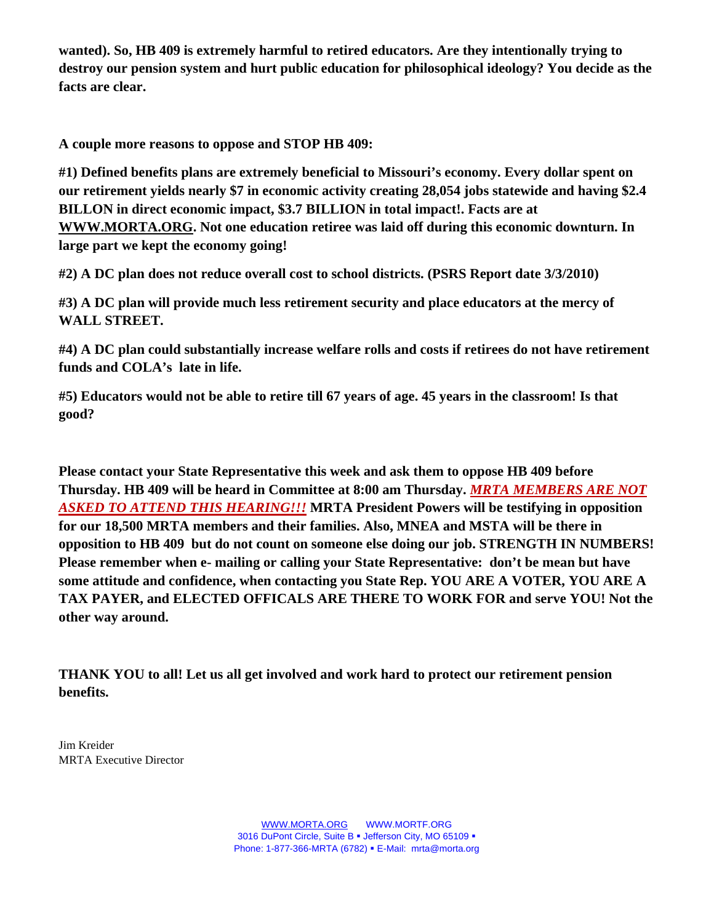**wanted). So, HB 409 is extremely harmful to retired educators. Are they intentionally trying to destroy our pension system and hurt public education for philosophical ideology? You decide as the facts are clear.** 

**A couple more reasons to oppose and STOP HB 409:** 

**#1) Defined benefits plans are extremely beneficial to Missouri's economy. Every dollar spent on our retirement yields nearly \$7 in economic activity creating 28,054 jobs statewide and having \$2.4 BILLON in direct economic impact, \$3.7 BILLION in total impact!. Facts are at WWW.MORTA.ORG. Not one education retiree was laid off during this economic downturn. In large part we kept the economy going!** 

**#2) A DC plan does not reduce overall cost to school districts. (PSRS Report date 3/3/2010)** 

**#3) A DC plan will provide much less retirement security and place educators at the mercy of WALL STREET.** 

**#4) A DC plan could substantially increase welfare rolls and costs if retirees do not have retirement funds and COLA's late in life.** 

**#5) Educators would not be able to retire till 67 years of age. 45 years in the classroom! Is that good?** 

**Please contact your State Representative this week and ask them to oppose HB 409 before Thursday. HB 409 will be heard in Committee at 8:00 am Thursday.** *MRTA MEMBERS ARE NOT ASKED TO ATTEND THIS HEARING!!!* **MRTA President Powers will be testifying in opposition for our 18,500 MRTA members and their families. Also, MNEA and MSTA will be there in opposition to HB 409 but do not count on someone else doing our job. STRENGTH IN NUMBERS! Please remember when e- mailing or calling your State Representative: don't be mean but have some attitude and confidence, when contacting you State Rep. YOU ARE A VOTER, YOU ARE A TAX PAYER, and ELECTED OFFICALS ARE THERE TO WORK FOR and serve YOU! Not the other way around.** 

**THANK YOU to all! Let us all get involved and work hard to protect our retirement pension benefits.** 

Jim Kreider MRTA Executive Director